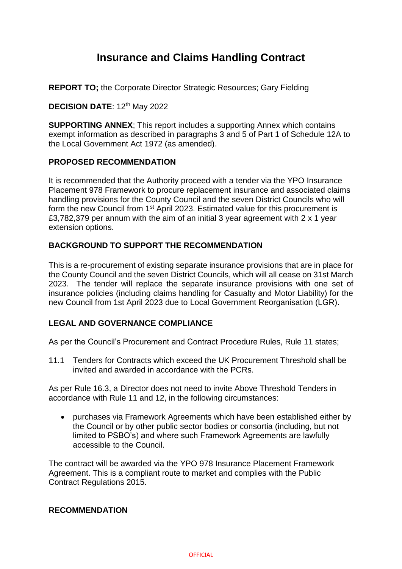# **Insurance and Claims Handling Contract**

**REPORT TO;** the Corporate Director Strategic Resources; Gary Fielding

### **DECISION DATE: 12th May 2022**

**SUPPORTING ANNEX**; This report includes a supporting Annex which contains exempt information as described in paragraphs 3 and 5 of Part 1 of Schedule 12A to the Local Government Act 1972 (as amended).

### **PROPOSED RECOMMENDATION**

It is recommended that the Authority proceed with a tender via the YPO Insurance Placement 978 Framework to procure replacement insurance and associated claims handling provisions for the County Council and the seven District Councils who will form the new Council from 1<sup>st</sup> April 2023. Estimated value for this procurement is £3,782,379 per annum with the aim of an initial 3 year agreement with 2 x 1 year extension options.

### **BACKGROUND TO SUPPORT THE RECOMMENDATION**

This is a re-procurement of existing separate insurance provisions that are in place for the County Council and the seven District Councils, which will all cease on 31st March 2023. The tender will replace the separate insurance provisions with one set of insurance policies (including claims handling for Casualty and Motor Liability) for the new Council from 1st April 2023 due to Local Government Reorganisation (LGR).

## **LEGAL AND GOVERNANCE COMPLIANCE**

As per the Council's Procurement and Contract Procedure Rules, Rule 11 states;

11.1 Tenders for Contracts which exceed the UK Procurement Threshold shall be invited and awarded in accordance with the PCRs.

As per Rule 16.3, a Director does not need to invite Above Threshold Tenders in accordance with Rule 11 and 12, in the following circumstances:

 purchases via Framework Agreements which have been established either by the Council or by other public sector bodies or consortia (including, but not limited to PSBO's) and where such Framework Agreements are lawfully accessible to the Council.

The contract will be awarded via the YPO 978 Insurance Placement Framework Agreement. This is a compliant route to market and complies with the Public Contract Regulations 2015.

#### **RECOMMENDATION**